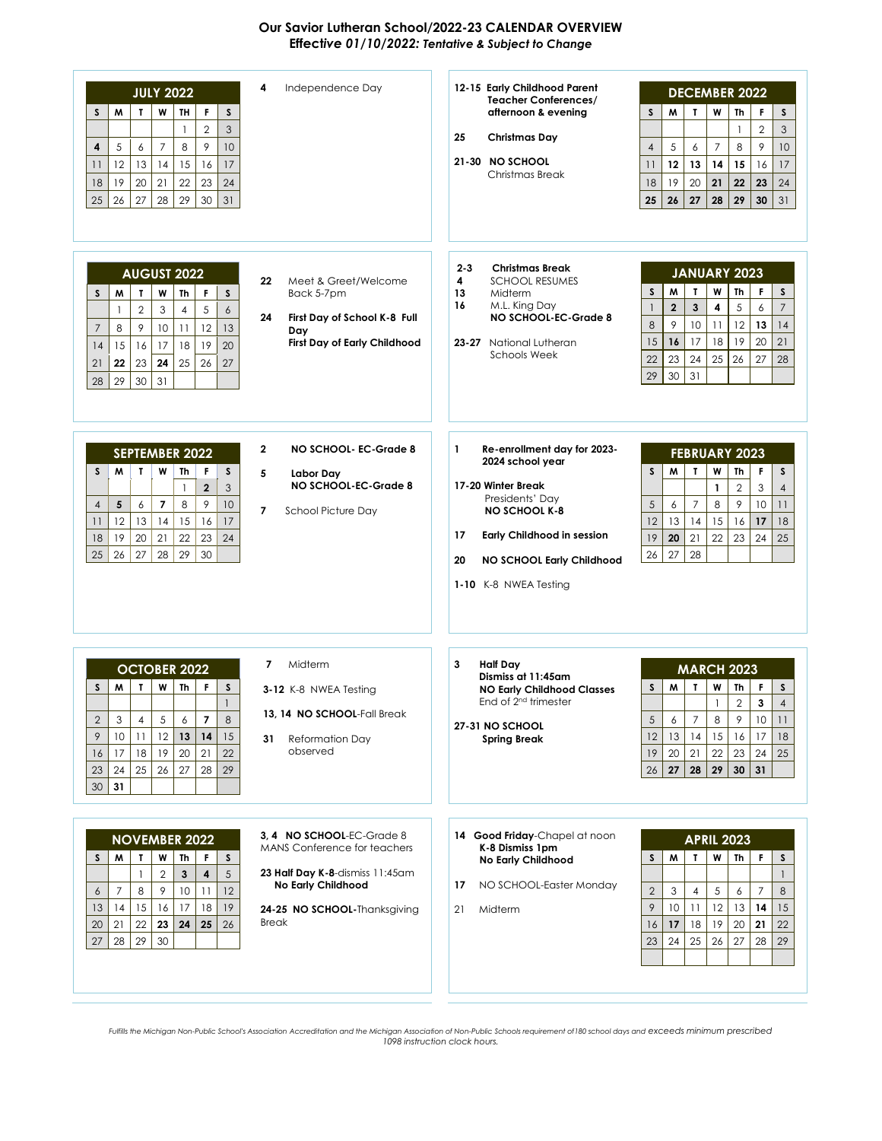## **Our Savior Lutheran School/2022-23 CALENDAR OVERVIEW Effect***ive 01/10/2022: Tentative & Subject to Change*

| Independence Day<br>4<br><b>JULY 2022</b><br>F<br>M<br>W<br>TH<br>S<br>S<br>T<br>$\overline{2}$<br>3<br>$\mathbf{1}$<br>$\overline{7}$<br>8<br>9<br>10<br>5<br>6<br>4<br>13<br>15<br>17<br>12<br>14<br>16<br>11<br>21<br>23<br>19<br>20<br>22<br>24<br>18<br>26<br>27<br>28<br>29<br>30<br>31<br>25                                                                                                                                                                   | 12-15 Early Childhood Parent<br><b>DECEMBER 2022</b><br><b>Teacher Conferences/</b><br>S<br>afternoon & evening<br>S<br>M<br>T<br>W<br>Th<br>F<br>$\overline{2}$<br>3<br>$\mathbf{1}$<br>25<br>Christmas Day<br>5<br>8<br>9<br>$\overline{7}$<br>10<br>$\overline{4}$<br>6<br>21-30 NO SCHOOL<br>12<br>15<br>13<br>14<br>16<br>17<br>11<br>Christmas Break<br>19<br>20<br>18<br>21<br>22<br>23<br>24<br>27<br>29<br>25<br>26<br>28<br>30<br>31                                                           |
|-----------------------------------------------------------------------------------------------------------------------------------------------------------------------------------------------------------------------------------------------------------------------------------------------------------------------------------------------------------------------------------------------------------------------------------------------------------------------|----------------------------------------------------------------------------------------------------------------------------------------------------------------------------------------------------------------------------------------------------------------------------------------------------------------------------------------------------------------------------------------------------------------------------------------------------------------------------------------------------------|
| <b>AUGUST 2022</b><br>Meet & Greet/Welcome<br>22<br>W<br>Th<br>F<br>S<br>M<br>T<br>S<br>Back 5-7pm<br>$\overline{2}$<br>3<br>$\overline{4}$<br>5<br>6<br>$\mathbf{1}$<br>24<br>First Day of School K-8 Full<br>9<br>12<br>10<br>11<br>13<br>$\overline{7}$<br>8<br>Day<br>First Day of Early Childhood<br>18<br>19<br>20<br>16<br>17<br>15<br>14<br>24<br>25<br>26<br>23<br>27<br>21<br>22<br>31<br>29<br>30<br>28                                                    | $2 - 3$<br><b>Christmas Break</b><br><b>JANUARY 2023</b><br>4<br><b>SCHOOL RESUMES</b><br>$\mathbf{I}$<br>W<br>F.<br>$\mathsf{s}$<br>W<br>Th<br>S<br>13<br>Midterm<br>16<br>M.L. King Day<br>$\overline{2}$<br>$\mathbf{3}$<br>5<br>$\overline{7}$<br>4<br>6<br>$\mathbf{1}$<br>NO SCHOOL-EC-Grade 8<br>8<br>9<br>10<br>12<br>13<br>11<br>14<br>16<br>17<br>19<br>15<br>18<br>20<br>21<br>23-27 National Lutheran<br><b>Schools Week</b><br>23<br>24<br>22<br>25<br>26<br>27<br>28<br>29<br>30<br>31     |
| NO SCHOOL- EC-Grade 8<br>2<br><b>SEPTEMBER 2022</b><br>S<br>M<br>T<br>W<br>Th<br>F<br>S<br>5<br>Labor Day<br>NO SCHOOL-EC-Grade 8<br>$\mathbf{2}$<br>3<br>$\mathbf{1}$<br>$\overline{\phantom{a}}$<br>8<br>9<br>10<br>5<br>6<br>$\overline{4}$<br>$\overline{7}$<br><b>School Picture Day</b><br>17<br>12<br>13<br>14<br>15<br>11<br>16<br>20<br>21<br>22<br>23<br>24<br>19<br>18<br>27<br>28<br>29<br>25<br>26<br>30                                                 | 1<br>Re-enrollment day for 2023-<br><b>FEBRUARY 2023</b><br>2024 school year<br>T<br>W<br>F.<br>S<br>W<br>Th<br>S<br>17-20 Winter Break<br>$\mathbf{1}$<br>$\mathbf{2}$<br>3<br>$\overline{4}$<br>Presidents' Day<br>5<br>9<br>$\overline{7}$<br>8<br>10<br>6<br>11<br><b>NO SCHOOL K-8</b><br>12<br>13<br>14<br>15<br>16<br>17<br>18<br>17<br><b>Early Childhood in session</b><br>19<br>20<br>21<br>22<br>23<br>24<br>25<br>27<br>28<br>26<br>NO SCHOOL Early Childhood<br>20<br>1-10 K-8 NWEA Testing |
| Midterm<br>7<br><b>OCTOBER 2022</b><br>T.<br>W<br>Th<br>F<br>S<br>M<br>S<br>3-12 K-8 NWEA Testing<br>$\mathbf{1}$<br>13, 14 NO SCHOOL-Fall Break<br>2<br>3<br>4<br>5<br>6<br>7<br>8<br>$\overline{9}$<br>12<br>10<br>11<br>13<br>14<br>15<br>31<br><b>Reformation Day</b><br>observed<br>19<br>20<br>22<br>18<br>21<br>16<br>17<br>25<br>26<br>27<br>29<br>28<br>23<br>24<br>30<br>31                                                                                 | <b>Half Day</b><br>3<br><b>MARCH 2023</b><br>Dismiss at 11:45am<br>W<br>W<br>Th<br>F<br>S<br>S<br>Т<br><b>NO Early Childhood Classes</b><br>End of 2 <sup>nd</sup> trimester<br>$\overline{2}$<br>3<br>$\mathbf{1}$<br>$\overline{4}$<br>5<br>6<br>7<br>8<br>9<br>10<br>$\frac{1}{2}$<br>27-31 NO SCHOOL<br>12<br>13<br>14<br>15<br>16<br>17<br>18<br><b>Spring Break</b><br>19<br>21<br>20<br>22<br>23<br>24<br>25<br>26<br>27<br>28<br>29<br>30<br>31                                                  |
| 3, 4 NO SCHOOL-EC-Grade 8<br><b>NOVEMBER 2022</b><br>MANS Conference for teachers<br>S<br>M<br>T.<br>W<br>Th<br>F<br>S<br>$\overline{2}$<br>$\mathbf{3}$<br>5<br>23 Half Day K-8-dismiss 11:45am<br>$\overline{\mathbf{4}}$<br>$\mathbf{1}$<br>No Early Childhood<br>8<br>9<br>10<br>$11$<br>12<br>7<br>6<br>15<br>17<br>18<br>19<br>16<br>13<br>14<br>24-25 NO SCHOOL-Thanksgiving<br><b>Break</b><br>22<br>23<br>24<br>21<br>25<br>26<br>20<br>29<br>30<br>28<br>27 | 14 Good Friday-Chapel at noon<br><b>APRIL 2023</b><br>K-8 Dismiss 1pm<br>F<br>S<br>M<br>T<br>W<br>Th<br>S<br>No Early Childhood<br>$\mathbf{1}$<br>NO SCHOOL-Easter Monday<br>17<br>$\overline{2}$<br>3<br>5<br>$\overline{7}$<br>$\overline{4}$<br>8<br>6<br>9<br>10<br>12<br>11<br>13<br>14<br>15<br>21<br>Midterm<br>17<br>18<br>19<br>20<br>21<br>22<br>16<br>25<br>23<br>24<br>26<br>27<br>28<br>29                                                                                                 |

*Fulfills the Michigan Non-Public School's Association Accreditation and the Michigan Association of Non-Public Schools requirement of180 school days and exceeds minimum prescribed 1098 instruction clock hours.*